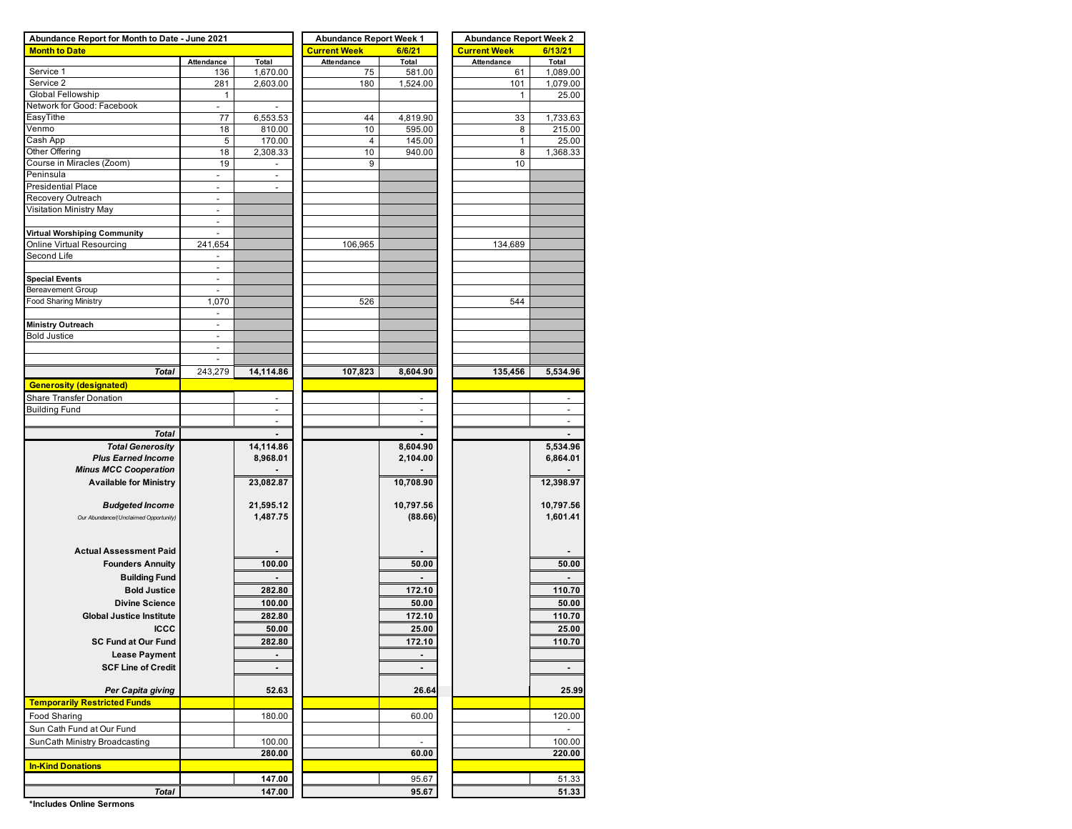| Abundance Report for Month to Date - June 2021 |                          |                          | <b>Abundance Report Week 1</b> |                          | <b>Abundance Report Week 2</b> |                |  |  |  |  |
|------------------------------------------------|--------------------------|--------------------------|--------------------------------|--------------------------|--------------------------------|----------------|--|--|--|--|
| <b>Month to Date</b>                           |                          |                          | <b>Current Week</b>            | 6/6/21                   | <b>Current Week</b>            | 6/13/21        |  |  |  |  |
|                                                | Attendance               | Total                    | Attendance                     | Total                    | Attendance                     | Total          |  |  |  |  |
| Service 1                                      | 136                      | 1,670.00                 | 75                             | 581.00                   | 61                             | 1,089.00       |  |  |  |  |
| Service 2                                      | 281                      | 2,603.00                 | 180                            | 1,524.00                 | 101                            | 1,079.00       |  |  |  |  |
| Global Fellowship                              | $\mathbf{1}$             |                          |                                |                          | 1                              | 25.00          |  |  |  |  |
| Network for Good: Facebook                     | $\blacksquare$           |                          |                                |                          |                                |                |  |  |  |  |
| EasyTithe                                      | 77                       | 6,553.53                 | 44                             | 4,819.90                 | 33                             | 1,733.63       |  |  |  |  |
| Venmo                                          | 18                       | 810.00                   | 10                             | 595.00                   | 8                              | 215.00         |  |  |  |  |
| Cash App                                       | 5                        | 170.00                   | $\overline{4}$                 | 145.00                   | $\mathbf{1}$                   | 25.00          |  |  |  |  |
| Other Offering                                 | 18                       | 2,308.33                 | 10                             | 940.00                   | 8                              | 1,368.33       |  |  |  |  |
| Course in Miracles (Zoom)                      | 19                       | $\blacksquare$           | 9                              |                          | 10                             |                |  |  |  |  |
| Peninsula                                      | $\blacksquare$           | $\overline{\phantom{a}}$ |                                |                          |                                |                |  |  |  |  |
| <b>Presidential Place</b>                      | ÷,                       | $\overline{\phantom{a}}$ |                                |                          |                                |                |  |  |  |  |
| Recovery Outreach                              | $\overline{\phantom{a}}$ |                          |                                |                          |                                |                |  |  |  |  |
| Visitation Ministry May                        | $\overline{a}$           |                          |                                |                          |                                |                |  |  |  |  |
|                                                | $\overline{\phantom{a}}$ |                          |                                |                          |                                |                |  |  |  |  |
| Virtual Worshiping Community                   | $\overline{a}$           |                          |                                |                          |                                |                |  |  |  |  |
| Online Virtual Resourcing                      | 241,654                  |                          | 106,965                        |                          | 134,689                        |                |  |  |  |  |
| Second Life                                    |                          |                          |                                |                          |                                |                |  |  |  |  |
|                                                | $\overline{\phantom{a}}$ |                          |                                |                          |                                |                |  |  |  |  |
| <b>Special Events</b>                          | $\overline{\phantom{a}}$ |                          |                                |                          |                                |                |  |  |  |  |
|                                                |                          |                          |                                |                          |                                |                |  |  |  |  |
| Bereavement Group                              | ÷,                       |                          |                                |                          |                                |                |  |  |  |  |
| Food Sharing Ministry                          | 1,070                    |                          | 526                            |                          | 544                            |                |  |  |  |  |
|                                                | $\overline{\phantom{a}}$ |                          |                                |                          |                                |                |  |  |  |  |
| <b>Ministry Outreach</b>                       | $\overline{\phantom{a}}$ |                          |                                |                          |                                |                |  |  |  |  |
| <b>Bold Justice</b>                            | $\overline{\phantom{a}}$ |                          |                                |                          |                                |                |  |  |  |  |
|                                                | $\overline{\phantom{a}}$ |                          |                                |                          |                                |                |  |  |  |  |
|                                                | $\overline{\phantom{a}}$ |                          |                                |                          |                                |                |  |  |  |  |
| <b>Total</b>                                   | 243,279                  | 14,114.86                | 107,823                        | 8,604.90                 | 135,456                        | 5,534.96       |  |  |  |  |
| <b>Generosity (designated)</b>                 |                          |                          |                                |                          |                                |                |  |  |  |  |
| <b>Share Transfer Donation</b>                 |                          |                          |                                |                          |                                |                |  |  |  |  |
| <b>Building Fund</b>                           |                          | $\overline{a}$           |                                | $\overline{a}$           |                                | ٠              |  |  |  |  |
|                                                |                          |                          |                                |                          |                                |                |  |  |  |  |
| <b>Total</b>                                   |                          |                          |                                |                          |                                |                |  |  |  |  |
|                                                |                          |                          |                                |                          |                                |                |  |  |  |  |
| <b>Total Generosity</b>                        |                          | 14,114.86                |                                | 8,604.90                 |                                | 5,534.96       |  |  |  |  |
| <b>Plus Earned Income</b>                      |                          | 8,968.01                 |                                | 2,104.00                 |                                | 6,864.01       |  |  |  |  |
| <b>Minus MCC Cooperation</b>                   |                          |                          |                                |                          |                                |                |  |  |  |  |
| <b>Available for Ministry</b>                  |                          | 23,082.87                |                                | 10,708.90                |                                | 12,398.97      |  |  |  |  |
|                                                |                          |                          |                                |                          |                                |                |  |  |  |  |
| <b>Budgeted Income</b>                         |                          | 21,595.12                |                                | 10,797.56                |                                | 10,797.56      |  |  |  |  |
| Our Abundance/(Unclaimed Opportunity)          |                          | 1,487.75                 |                                | (88.66)                  |                                | 1,601.41       |  |  |  |  |
|                                                |                          |                          |                                |                          |                                |                |  |  |  |  |
|                                                |                          |                          |                                |                          |                                |                |  |  |  |  |
| <b>Actual Assessment Paid</b>                  |                          |                          |                                |                          |                                |                |  |  |  |  |
| <b>Founders Annuity</b>                        |                          | 100.00                   |                                | 50.00                    |                                | 50.00          |  |  |  |  |
| <b>Building Fund</b>                           |                          |                          |                                |                          |                                |                |  |  |  |  |
|                                                |                          |                          |                                |                          |                                |                |  |  |  |  |
| <b>Bold Justice</b>                            |                          | 282.80                   |                                | 172.10                   |                                | 110.70         |  |  |  |  |
| <b>Divine Science</b>                          |                          | 100.00                   |                                | 50.00                    |                                | 50.00          |  |  |  |  |
| <b>Global Justice Institute</b>                |                          | 282.80                   |                                | 172.10                   |                                | 110.70         |  |  |  |  |
| <b>ICCC</b>                                    |                          | 50.00                    |                                | 25.00                    |                                | 25.00          |  |  |  |  |
| <b>SC Fund at Our Fund</b>                     |                          | 282.80                   |                                | 172.10                   |                                | 110.70         |  |  |  |  |
| <b>Lease Payment</b>                           |                          | $\blacksquare$           |                                |                          |                                |                |  |  |  |  |
|                                                |                          |                          |                                | $\overline{\phantom{0}}$ |                                |                |  |  |  |  |
| <b>SCF Line of Credit</b>                      |                          | $\blacksquare$           |                                | $\blacksquare$           |                                |                |  |  |  |  |
|                                                |                          |                          |                                |                          |                                |                |  |  |  |  |
| Per Capita giving                              |                          | 52.63                    |                                | 26.64                    |                                | 25.99          |  |  |  |  |
| <b>Temporarily Restricted Funds</b>            |                          |                          |                                |                          |                                |                |  |  |  |  |
| Food Sharing                                   |                          | 180.00                   |                                | 60.00                    |                                | 120.00         |  |  |  |  |
| Sun Cath Fund at Our Fund                      |                          |                          |                                |                          |                                | $\overline{a}$ |  |  |  |  |
|                                                |                          |                          |                                | $\overline{a}$           |                                |                |  |  |  |  |
| SunCath Ministry Broadcasting                  |                          | 100.00                   |                                |                          |                                | 100.00         |  |  |  |  |
|                                                |                          | 280.00                   |                                | 60.00                    |                                | 220.00         |  |  |  |  |
| <b>In-Kind Donations</b>                       |                          |                          |                                |                          |                                |                |  |  |  |  |
|                                                |                          | 147.00                   |                                | 95.67                    |                                | 51.33          |  |  |  |  |
| <b>Total</b>                                   |                          | 147.00                   |                                | 95.67                    |                                | 51.33          |  |  |  |  |
|                                                |                          |                          |                                |                          |                                |                |  |  |  |  |

**\*Includes Online Sermons**